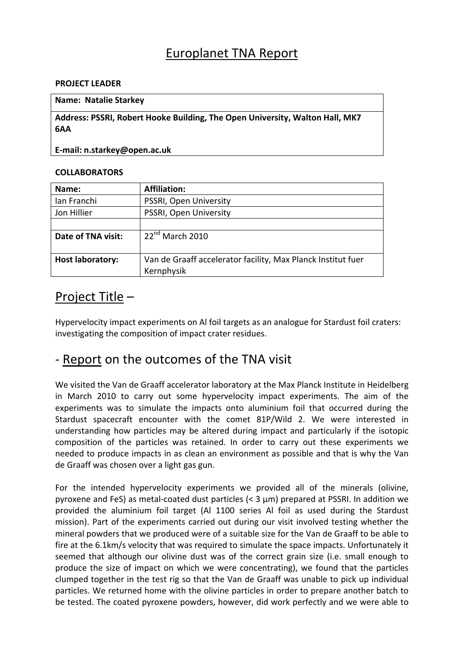# Europlanet TNA Report

#### **PROJECT LEADER**

#### **Name: Natalie Starkey**

**Address: PSSRI, Robert Hooke Building, The Open University, Walton Hall, MK7 6AA**

### **E‐mail: n.starkey@open.ac.uk**

### **COLLABORATORS**

| Name:                   | <b>Affiliation:</b>                                          |
|-------------------------|--------------------------------------------------------------|
| Ian Franchi             | PSSRI, Open University                                       |
| Jon Hillier             | PSSRI, Open University                                       |
|                         |                                                              |
| Date of TNA visit:      | $22^{nd}$ March 2010                                         |
|                         |                                                              |
| <b>Host laboratory:</b> | Van de Graaff accelerator facility, Max Planck Institut fuer |
|                         | Kernphysik                                                   |

## Project Title –

Hypervelocity impact experiments on Al foil targets as an analogue for Stardust foil craters: investigating the composition of impact crater residues.

# ‐ Report on the outcomes of the TNA visit

We visited the Van de Graaff accelerator laboratory at the Max Planck Institute in Heidelberg in March 2010 to carry out some hypervelocity impact experiments. The aim of the experiments was to simulate the impacts onto aluminium foil that occurred during the Stardust spacecraft encounter with the comet 81P/Wild 2. We were interested in understanding how particles may be altered during impact and particularly if the isotopic composition of the particles was retained. In order to carry out these experiments we needed to produce impacts in as clean an environment as possible and that is why the Van de Graaff was chosen over a light gas gun.

For the intended hypervelocity experiments we provided all of the minerals (olivine, pyroxene and FeS) as metal‐coated dust particles (< 3 µm) prepared at PSSRI. In addition we provided the aluminium foil target (Al 1100 series Al foil as used during the Stardust mission). Part of the experiments carried out during our visit involved testing whether the mineral powders that we produced were of a suitable size for the Van de Graaff to be able to fire at the 6.1km/s velocity that was required to simulate the space impacts. Unfortunately it seemed that although our olivine dust was of the correct grain size (i.e. small enough to produce the size of impact on which we were concentrating), we found that the particles clumped together in the test rig so that the Van de Graaff was unable to pick up individual particles. We returned home with the olivine particles in order to prepare another batch to be tested. The coated pyroxene powders, however, did work perfectly and we were able to